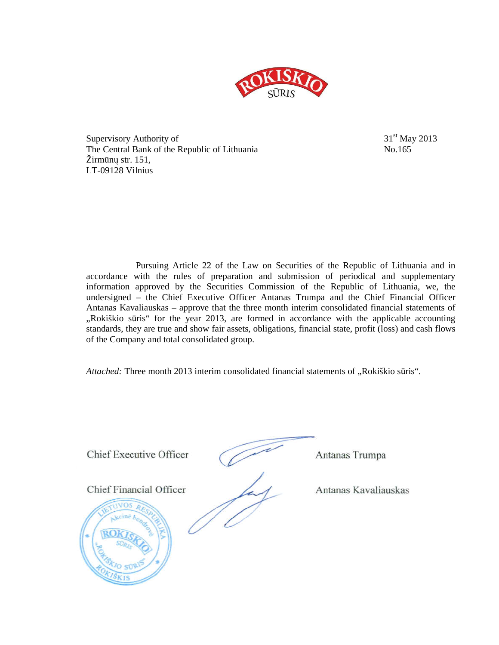

Supervisory Authority of  $31<sup>st</sup>$  May 2013 The Central Bank of the Republic of Lithuania No.165 Žirmūnų str. 151, LT-09128 Vilnius

Pursuing Article 22 of the Law on Securities of the Republic of Lithuania and in accordance with the rules of preparation and submission of periodical and supplementary information approved by the Securities Commission of the Republic of Lithuania, we, the undersigned – the Chief Executive Officer Antanas Trumpa and the Chief Financial Officer Antanas Kavaliauskas – approve that the three month interim consolidated financial statements of "Rokiškio sūris" for the year 2013, are formed in accordance with the applicable accounting standards, they are true and show fair assets, obligations, financial state, profit (loss) and cash flows of the Company and total consolidated group.

Attached: Three month 2013 interim consolidated financial statements of "Rokiškio sūris".

Chief Executive Officer (Antanas Trumpa

Chief Financial Officer Antanas Kavaliauskas

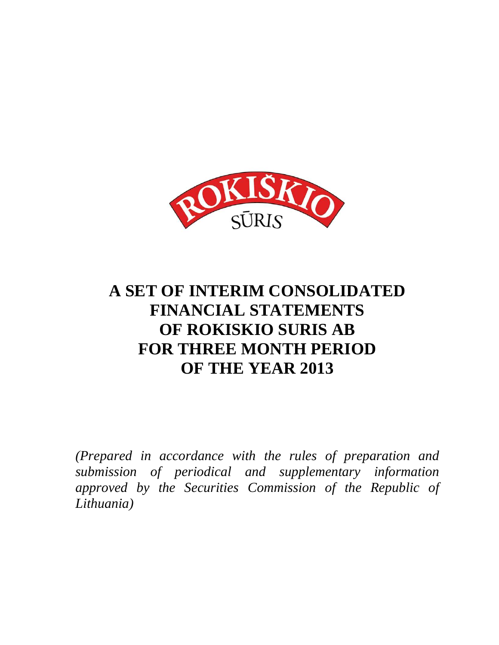

# **A SET OF INTERIM CONSOLIDATED FINANCIAL STATEMENTS OF ROKISKIO SURIS AB FOR THREE MONTH PERIOD OF THE YEAR 2013**

*(Prepared in accordance with the rules of preparation and submission of periodical and supplementary information approved by the Securities Commission of the Republic of Lithuania)*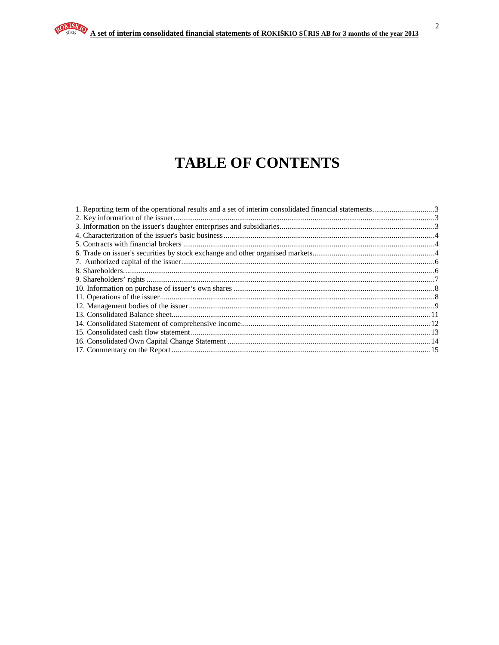# **TABLE OF CONTENTS**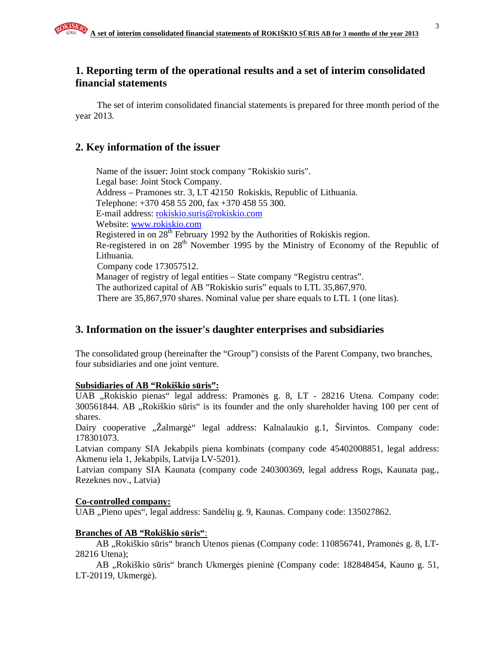# **1. Reporting term of the operational results and a set of interim consolidated financial statements**

The set of interim consolidated financial statements is prepared for three month period of the year 2013.

# **2. Key information of the issuer**

Name of the issuer: Joint stock company "Rokiskio suris". Legal base: Joint Stock Company. Address – Pramones str. 3, LT 42150 Rokiskis, Republic of Lithuania. Telephone: +370 458 55 200, fax +370 458 55 300. E-mail address: rokiskio.suris@rokiskio.com Website: www.rokiskio.com Registered in on 28<sup>th</sup> February 1992 by the Authorities of Rokiskis region. Re-registered in on 28<sup>th</sup> November 1995 by the Ministry of Economy of the Republic of Lithuania. Company code 173057512. Manager of registry of legal entities – State company "Registru centras". The authorized capital of AB "Rokiskio suris" equals to LTL 35,867,970. There are 35,867,970 shares. Nominal value per share equals to LTL 1 (one litas).

# **3. Information on the issuer's daughter enterprises and subsidiaries**

The consolidated group (hereinafter the "Group") consists of the Parent Company, two branches, four subsidiaries and one joint venture.

# **Subsidiaries of AB "Rokiškio s**ū**ris":**

UAB "Rokiskio pienas" legal address: Pramonės g. 8, LT - 28216 Utena. Company code: 300561844. AB "Rokiškio sūris" is its founder and the only shareholder having 100 per cent of shares.

Dairy cooperative "Žalmargė" legal address: Kalnalaukio g.1, Širvintos. Company code: 178301073.

Latvian company SIA Jekabpils piena kombinats (company code 45402008851, legal address: Akmenu iela 1, Jekabpils, Latvija LV-5201).

Latvian company SIA Kaunata (company code 240300369, legal address Rogs, Kaunata pag., Rezeknes nov., Latvia)

# **Co-controlled company:**

UAB "Pieno upės", legal address: Sandėlių g. 9, Kaunas. Company code: 135027862.

# **Branches of AB "Rokiškio s**ū**ris"**:

AB "Rokiškio sūris" branch Utenos pienas (Company code: 110856741, Pramonės g. 8, LT-28216 Utena);

AB "Rokiškio sūris" branch Ukmergės pieninė (Company code: 182848454, Kauno g. 51, LT-20119, Ukmergė).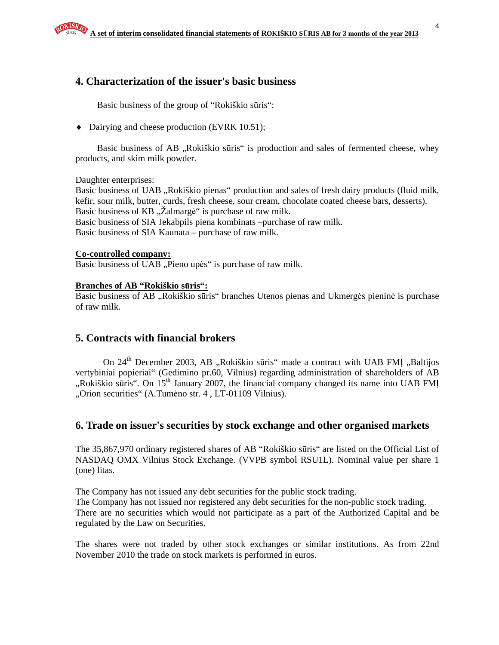# **4. Characterization of the issuer's basic business**

Basic business of the group of "Rokiškio sūris":

♦ Dairying and cheese production (EVRK 10.51);

Basic business of AB "Rokiškio sūris" is production and sales of fermented cheese, whey products, and skim milk powder.

Daughter enterprises:

Basic business of UAB "Rokiškio pienas" production and sales of fresh dairy products (fluid milk, kefir, sour milk, butter, curds, fresh cheese, sour cream, chocolate coated cheese bars, desserts). Basic business of KB "Zalmargė" is purchase of raw milk. Basic business of SIA Jekabpils piena kombinats –purchase of raw milk. Basic business of SIA Kaunata – purchase of raw milk.

#### **Co-controlled company:**

Basic business of UAB "Pieno upės" is purchase of raw milk.

#### **Branches of AB "Rokiškio s**ū**ris":**

Basic business of AB "Rokiškio sūris" branches Utenos pienas and Ukmergės pieninė is purchase of raw milk.

# **5. Contracts with financial brokers**

On 24<sup>th</sup> December 2003, AB "Rokiškio sūris" made a contract with UAB FMI "Baltijos vertybiniai popieriai" (Gedimino pr.60, Vilnius) regarding administration of shareholders of AB "Rokiškio sūris". On  $15<sup>th</sup>$  January 2007, the financial company changed its name into UAB FMI "Orion securities" (A.Tumėno str. 4, LT-01109 Vilnius).

#### **6. Trade on issuer's securities by stock exchange and other organised markets**

The 35,867,970 ordinary registered shares of AB "Rokiškio sūris" are listed on the Official List of NASDAQ OMX Vilnius Stock Exchange. (VVPB symbol RSU1L). Nominal value per share 1 (one) litas.

The Company has not issued any debt securities for the public stock trading. The Company has not issued nor registered any debt securities for the non-public stock trading. There are no securities which would not participate as a part of the Authorized Capital and be regulated by the Law on Securities.

The shares were not traded by other stock exchanges or similar institutions. As from 22nd November 2010 the trade on stock markets is performed in euros.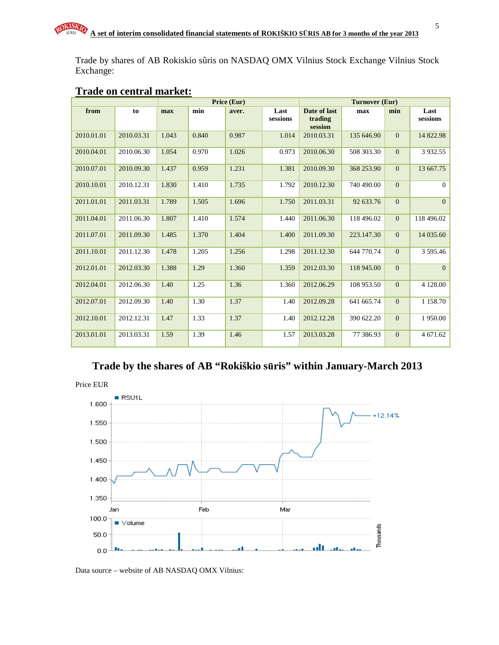Trade by shares of AB Rokiskio sûris on NASDAQ OMX Vilnius Stock Exchange Vilnius Stock Exchange:

|            |            | Price (Eur) |       |       | <b>Turnover (Eur)</b> |                                    |            |              |                  |
|------------|------------|-------------|-------|-------|-----------------------|------------------------------------|------------|--------------|------------------|
| from       | to         | max         | min   | aver. | Last<br>sessions      | Date of last<br>trading<br>session | max        | min          | Last<br>sessions |
| 2010.01.01 | 2010.03.31 | 1.043       | 0.840 | 0.987 | 1.014                 | 2010.03.31                         | 135 646.90 | $\mathbf{0}$ | 14 822.98        |
| 2010.04.01 | 2010.06.30 | 1.054       | 0.970 | 1.026 | 0.973                 | 2010.06.30                         | 508 303.30 | $\mathbf{0}$ | 3 9 3 2.5 5      |
| 2010.07.01 | 2010.09.30 | 1.437       | 0.959 | 1.231 | 1.381                 | 2010.09.30                         | 368 253.90 | $\mathbf{0}$ | 13 667.75        |
| 2010.10.01 | 2010.12.31 | 1.830       | 1.410 | 1.735 | 1.792                 | 2010.12.30                         | 740 490.00 | $\mathbf{0}$ | $\mathbf{0}$     |
| 2011.01.01 | 2011.03.31 | 1.789       | 1.505 | 1.696 | 1.750                 | 2011.03.31                         | 92 633.76  | $\mathbf{0}$ | $\mathbf{0}$     |
| 2011.04.01 | 2011.06.30 | 1.807       | 1.410 | 1.574 | 1.440                 | 2011.06.30                         | 118 496.02 | $\mathbf{0}$ | 118 496.02       |
| 2011.07.01 | 2011.09.30 | 1.485       | 1.370 | 1.404 | 1.400                 | 2011.09.30                         | 223.147.30 | $\mathbf{0}$ | 14 035.60        |
| 2011.10.01 | 2011.12.30 | 1.478       | 1.205 | 1.256 | 1.298                 | 2011.12.30                         | 644 770.74 | $\mathbf{0}$ | 3 595.46         |
| 2012.01.01 | 2012.03.30 | 1.388       | 1.29  | 1.360 | 1.359                 | 2012.03.30                         | 118 945.00 | $\mathbf{0}$ | $\overline{0}$   |
| 2012.04.01 | 2012.06.30 | 1.40        | 1.25  | 1.36  | 1.360                 | 2012.06.29                         | 108 953.50 | $\mathbf{0}$ | 4 128.00         |
| 2012.07.01 | 2012.09.30 | 1.40        | 1.30  | 1.37  | 1.40                  | 2012.09.28                         | 641 665.74 | $\mathbf{0}$ | 1 1 5 8 . 7 0    |
| 2012.10.01 | 2012.12.31 | 1.47        | 1.33  | 1.37  | 1.40                  | 2012.12.28                         | 390 622.20 | $\mathbf{0}$ | 1950.00          |
| 2013.01.01 | 2013.03.31 | 1.59        | 1.39  | 1.46  | 1.57                  | 2013.03.28                         | 77 386.93  | $\mathbf{0}$ | 4 671.62         |

# **Trade on central market:**

# **Trade by the shares of AB "Rokiškio s**ū**ris" within January-March 2013**





Data source – website of AB NASDAQ OMX Vilnius: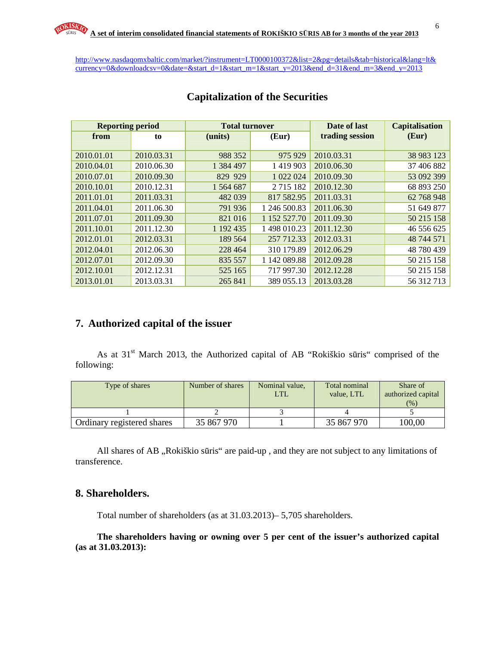http://www.nasdaqomxbaltic.com/market/?instrument=LT0000100372&list=2&pg=details&tab=historical&lang=lt& currency=0&downloadcsv=0&date=&start\_d=1&start\_m=1&start\_y=2013&end\_d=31&end\_m=3&end\_y=2013

| <b>Reporting period</b> |            | <b>Total turnover</b> |               | Date of last    | <b>Capitalisation</b> |
|-------------------------|------------|-----------------------|---------------|-----------------|-----------------------|
| from                    | to         | (Eur)<br>(units)      |               | trading session | (Eur)                 |
|                         |            |                       |               |                 |                       |
| 2010.01.01              | 2010.03.31 | 988 352               | 975 929       | 2010.03.31      | 38 983 123            |
| 2010.04.01              | 2010.06.30 | 1 384 497             | 1419903       | 2010.06.30      | 37 406 882            |
| 2010.07.01              | 2010.09.30 | 829 929               | 1 022 024     | 2010.09.30      | 53 092 399            |
| 2010.10.01              | 2010.12.31 | 1 564 687             | 2 7 1 5 1 8 2 | 2010.12.30      | 68 893 250            |
| 2011.01.01              | 2011.03.31 | 482 039               | 817 582.95    | 2011.03.31      | 62 768 948            |
| 2011.04.01              | 2011.06.30 | 791 936               | 1 246 500.83  | 2011.06.30      | 51 649 877            |
| 2011.07.01              | 2011.09.30 | 821 016               | 1 152 527.70  | 2011.09.30      | 50 215 158            |
| 2011.10.01              | 2011.12.30 | 1 192 435             | 1 498 010.23  | 2011.12.30      | 46 556 625            |
| 2012.01.01              | 2012.03.31 | 189 564               | 257 712.33    | 2012.03.31      | 48 744 571            |
| 2012.04.01              | 2012.06.30 | 228 464               | 310 179.89    | 2012.06.29      | 48 780 439            |
| 2012.07.01              | 2012.09.30 | 835 557               | 1 142 089.88  | 2012.09.28      | 50 215 158            |
| 2012.10.01              | 2012.12.31 | 525 165               | 717 997.30    | 2012.12.28      | 50 215 158            |
| 2013.01.01              | 2013.03.31 | 265 841               | 389 055.13    | 2013.03.28      | 56 312 713            |

# **Capitalization of the Securities**

# **7. Authorized capital of the issuer**

As at 31<sup>st</sup> March 2013, the Authorized capital of AB "Rokiškio sūris" comprised of the following:

| Type of shares             | Number of shares | Nominal value,<br>LTL | Total nominal<br>value. LTL | Share of<br>authorized capital<br>(%) |
|----------------------------|------------------|-----------------------|-----------------------------|---------------------------------------|
|                            |                  |                       |                             |                                       |
| Ordinary registered shares | 35 867 970       |                       | 35 867 970                  | 100,00                                |

All shares of AB "Rokiškio sūris" are paid-up, and they are not subject to any limitations of transference.

## **8. Shareholders.**

Total number of shareholders (as at 31.03.2013)– 5,705 shareholders.

**The shareholders having or owning over 5 per cent of the issuer's authorized capital (as at 31.03.2013):**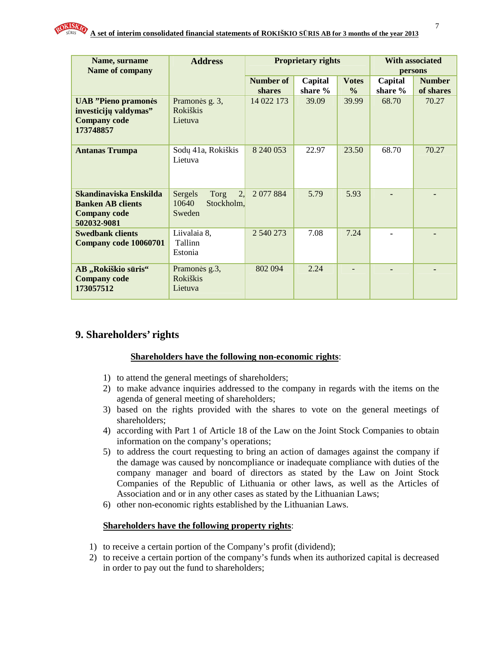

| Name, surname<br>Name of company                                                         | <b>Address</b>                                         |                     | <b>Proprietary rights</b> | <b>With associated</b><br>persons |                    |                            |
|------------------------------------------------------------------------------------------|--------------------------------------------------------|---------------------|---------------------------|-----------------------------------|--------------------|----------------------------|
|                                                                                          |                                                        | Number of<br>shares | Capital<br>share %        | <b>Votes</b><br>$\frac{0}{0}$     | Capital<br>share % | <b>Number</b><br>of shares |
| <b>UAB</b> "Pieno pramonės<br>investicijų valdymas"<br><b>Company code</b><br>173748857  | Pramonės g. 3,<br><b>Rokiškis</b><br>Lietuva           | 14 022 173          | 39.09                     | 39.99                             | 68.70              | 70.27                      |
| <b>Antanas Trumpa</b>                                                                    | Sodų 41a, Rokiškis<br>Lietuva                          | 8 240 053           | 22.97                     | 23.50                             | 68.70              | 70.27                      |
| Skandinaviska Enskilda<br><b>Banken AB clients</b><br><b>Company code</b><br>502032-9081 | 2,<br>Sergels<br>Torg<br>Stockholm.<br>10640<br>Sweden | 2 077 884           | 5.79                      | 5.93                              |                    |                            |
| <b>Swedbank clients</b><br>Company code 10060701                                         | Liivalaia 8,<br>Tallinn<br>Estonia                     | 2 540 273           | 7.08                      | 7.24                              |                    |                            |
| AB "Rokiškio sūris"<br><b>Company code</b><br>173057512                                  | Pramonės g.3,<br>Rokiškis<br>Lietuva                   | 802 094             | 2.24                      |                                   |                    |                            |

# **9. Shareholders' rights**

#### **Shareholders have the following non-economic rights**:

- 1) to attend the general meetings of shareholders;
- 2) to make advance inquiries addressed to the company in regards with the items on the agenda of general meeting of shareholders;
- 3) based on the rights provided with the shares to vote on the general meetings of shareholders;
- 4) according with Part 1 of Article 18 of the Law on the Joint Stock Companies to obtain information on the company's operations;
- 5) to address the court requesting to bring an action of damages against the company if the damage was caused by noncompliance or inadequate compliance with duties of the company manager and board of directors as stated by the Law on Joint Stock Companies of the Republic of Lithuania or other laws, as well as the Articles of Association and or in any other cases as stated by the Lithuanian Laws;
- 6) other non-economic rights established by the Lithuanian Laws.

#### **Shareholders have the following property rights**:

- 1) to receive a certain portion of the Company's profit (dividend);
- 2) to receive a certain portion of the company's funds when its authorized capital is decreased in order to pay out the fund to shareholders;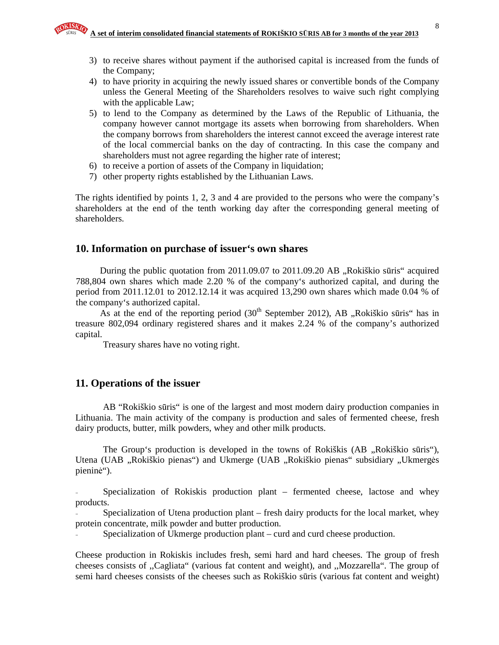- 3) to receive shares without payment if the authorised capital is increased from the funds of the Company;
- 4) to have priority in acquiring the newly issued shares or convertible bonds of the Company unless the General Meeting of the Shareholders resolves to waive such right complying with the applicable Law;
- 5) to lend to the Company as determined by the Laws of the Republic of Lithuania, the company however cannot mortgage its assets when borrowing from shareholders. When the company borrows from shareholders the interest cannot exceed the average interest rate of the local commercial banks on the day of contracting. In this case the company and shareholders must not agree regarding the higher rate of interest;
- 6) to receive a portion of assets of the Company in liquidation;
- 7) other property rights established by the Lithuanian Laws.

The rights identified by points 1, 2, 3 and 4 are provided to the persons who were the company's shareholders at the end of the tenth working day after the corresponding general meeting of shareholders.

## **10. Information on purchase of issuer's own shares**

During the public quotation from  $2011.09.07$  to  $2011.09.20$  AB  $\alpha$ , Rokiškio sūris" acquired 788,804 own shares which made 2.20 % of the company's authorized capital, and during the period from 2011.12.01 to 2012.12.14 it was acquired 13,290 own shares which made 0.04 % of the company's authorized capital.

As at the end of the reporting period  $(30<sup>th</sup>$  September 2012), AB "Rokiškio sūris" has in treasure 802,094 ordinary registered shares and it makes 2.24 % of the company's authorized capital.

Treasury shares have no voting right.

#### **11. Operations of the issuer**

AB "Rokiškio sūris" is one of the largest and most modern dairy production companies in Lithuania. The main activity of the company is production and sales of fermented cheese, fresh dairy products, butter, milk powders, whey and other milk products.

The Group's production is developed in the towns of Rokiškis (AB "Rokiškio sūris"), Utena (UAB "Rokiškio pienas") and Ukmerge (UAB "Rokiškio pienas" subsidiary "Ukmergės pieninė").

Specialization of Rokiskis production plant – fermented cheese, lactose and whey products.

Specialization of Utena production plant – fresh dairy products for the local market, whey protein concentrate, milk powder and butter production.

Specialization of Ukmerge production plant – curd and curd cheese production.

Cheese production in Rokiskis includes fresh, semi hard and hard cheeses. The group of fresh cheeses consists of ,,Cagliata" (various fat content and weight), and ,,Mozzarella". The group of semi hard cheeses consists of the cheeses such as Rokiškio sūris (various fat content and weight)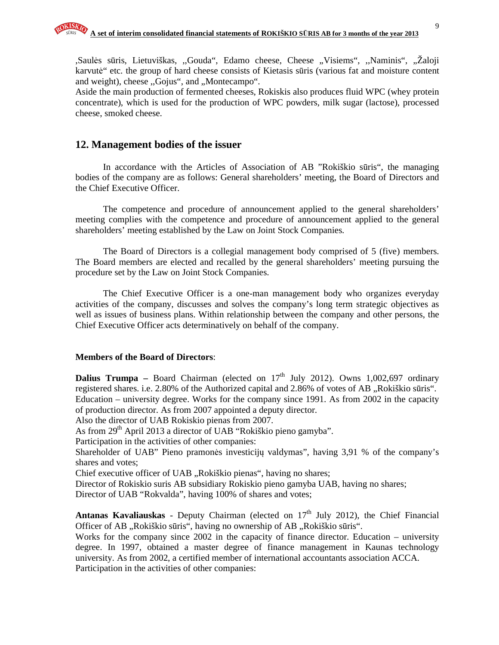,Saulės sūris, Lietuviškas, "Gouda", Edamo cheese, Cheese "Visiems", "Naminis", "Žaloji karvutė" etc. the group of hard cheese consists of Kietasis sūris (various fat and moisture content and weight), cheese "Gojus", and "Montecampo".

Aside the main production of fermented cheeses, Rokiskis also produces fluid WPC (whey protein concentrate), which is used for the production of WPC powders, milk sugar (lactose), processed cheese, smoked cheese.

### **12. Management bodies of the issuer**

In accordance with the Articles of Association of AB "Rokiškio sūris", the managing bodies of the company are as follows: General shareholders' meeting, the Board of Directors and the Chief Executive Officer.

The competence and procedure of announcement applied to the general shareholders' meeting complies with the competence and procedure of announcement applied to the general shareholders' meeting established by the Law on Joint Stock Companies.

The Board of Directors is a collegial management body comprised of 5 (five) members. The Board members are elected and recalled by the general shareholders' meeting pursuing the procedure set by the Law on Joint Stock Companies.

The Chief Executive Officer is a one-man management body who organizes everyday activities of the company, discusses and solves the company's long term strategic objectives as well as issues of business plans. Within relationship between the company and other persons, the Chief Executive Officer acts determinatively on behalf of the company.

#### **Members of the Board of Directors**:

**Dalius Trumpa** – Board Chairman (elected on  $17<sup>th</sup>$  July 2012). Owns 1,002,697 ordinary registered shares. i.e. 2.80% of the Authorized capital and 2.86% of votes of AB "Rokiškio sūris". Education – university degree. Works for the company since 1991. As from 2002 in the capacity of production director. As from 2007 appointed a deputy director.

Also the director of UAB Rokiskio pienas from 2007.

As from 29<sup>th</sup> April 2013 a director of UAB "Rokiškio pieno gamyba".

Participation in the activities of other companies:

Shareholder of UAB" Pieno pramonės investicijų valdymas", having 3,91 % of the company's shares and votes;

Chief executive officer of UAB "Rokiškio pienas", having no shares;

Director of Rokiskio suris AB subsidiary Rokiskio pieno gamyba UAB, having no shares;

Director of UAB "Rokvalda", having 100% of shares and votes;

Antanas Kavaliauskas - Deputy Chairman (elected on 17<sup>th</sup> July 2012), the Chief Financial Officer of AB "Rokiškio sūris", having no ownership of AB "Rokiškio sūris".

Works for the company since 2002 in the capacity of finance director. Education – university degree. In 1997, obtained a master degree of finance management in Kaunas technology university. As from 2002, a certified member of international accountants association ACCA. Participation in the activities of other companies: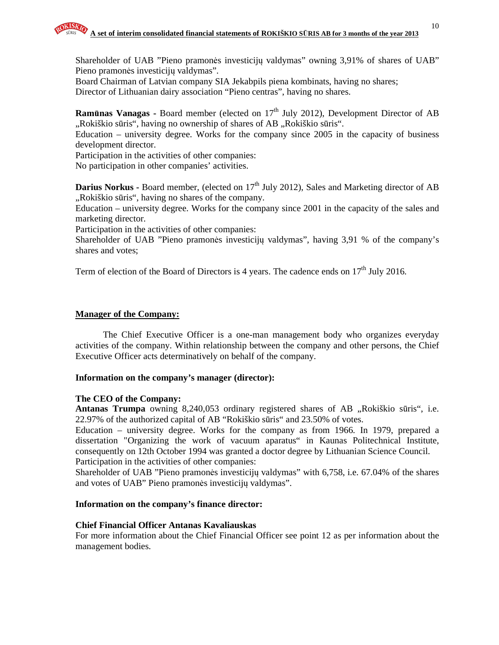Shareholder of UAB "Pieno pramonės investicijų valdymas" owning 3,91% of shares of UAB" Pieno pramonės investicijų valdymas".

Board Chairman of Latvian company SIA Jekabpils piena kombinats, having no shares; Director of Lithuanian dairy association "Pieno centras", having no shares.

**Ramūnas Vanagas -** Board member (elected on 17<sup>th</sup> July 2012), Development Director of AB ",Rokiškio sūris", having no ownership of shares of AB "Rokiškio sūris".

Education – university degree. Works for the company since 2005 in the capacity of business development director.

Participation in the activities of other companies:

No participation in other companies' activities.

**Darius Norkus - Board member, (elected on 17<sup>th</sup> July 2012), Sales and Marketing director of AB** "Rokiškio sūris", having no shares of the company.

Education – university degree. Works for the company since 2001 in the capacity of the sales and marketing director.

Participation in the activities of other companies:

Shareholder of UAB "Pieno pramonės investicijų valdymas", having 3,91 % of the company's shares and votes;

Term of election of the Board of Directors is 4 years. The cadence ends on  $17<sup>th</sup>$  July 2016.

#### **Manager of the Company:**

The Chief Executive Officer is a one-man management body who organizes everyday activities of the company. Within relationship between the company and other persons, the Chief Executive Officer acts determinatively on behalf of the company.

#### **Information on the company's manager (director):**

#### **The CEO of the Company:**

Antanas Trumpa owning 8,240,053 ordinary registered shares of AB "Rokiškio sūris", i.e. 22.97% of the authorized capital of AB "Rokiškio sūris" and 23.50% of votes.

Education – university degree. Works for the company as from 1966. In 1979, prepared a dissertation "Organizing the work of vacuum aparatus" in Kaunas Politechnical Institute, consequently on 12th October 1994 was granted a doctor degree by Lithuanian Science Council. Participation in the activities of other companies:

Shareholder of UAB "Pieno pramonės investicijų valdymas" with 6,758, i.e. 67.04% of the shares and votes of UAB" Pieno pramonės investicijų valdymas".

#### **Information on the company's finance director:**

#### **Chief Financial Officer Antanas Kavaliauskas**

For more information about the Chief Financial Officer see point 12 as per information about the management bodies.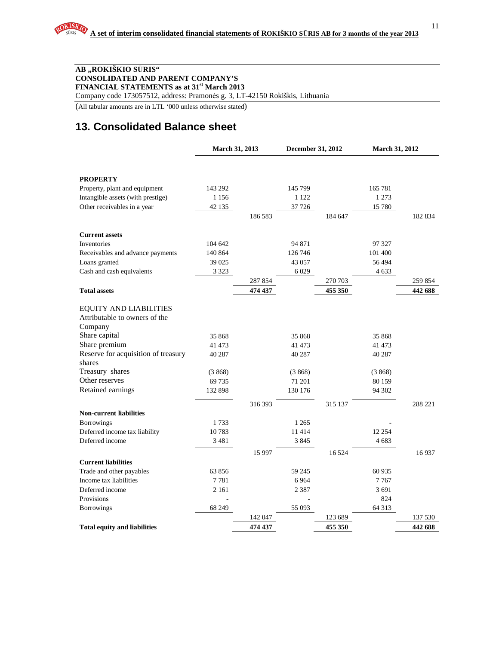#### **AB "ROKIŠKIO S**Ū**RIS" CONSOLIDATED AND PARENT COMPANY'S FINANCIAL STATEMENTS as at 31st March 2013**

Company code 173057512, address: Pramonės g. 3, LT-42150 Rokiškis, Lithuania

(All tabular amounts are in LTL '000 unless otherwise stated)

# **13. Consolidated Balance sheet**

|                                     | March 31, 2013 |         | December 31, 2012 |         | March 31, 2012 |         |
|-------------------------------------|----------------|---------|-------------------|---------|----------------|---------|
|                                     |                |         |                   |         |                |         |
| <b>PROPERTY</b>                     |                |         |                   |         |                |         |
| Property, plant and equipment       | 143 292        |         | 145 799           |         | 165 781        |         |
| Intangible assets (with prestige)   | 1 1 5 6        |         | 1 1 2 2           |         | 1 273          |         |
| Other receivables in a year         | 42 135         |         | 37 7 26           |         | 15 780         |         |
|                                     |                | 186 583 |                   | 184 647 |                | 182 834 |
| <b>Current assets</b>               |                |         |                   |         |                |         |
| Inventories                         | 104 642        |         | 94 871            |         | 97 327         |         |
| Receivables and advance payments    | 140 864        |         | 126 746           |         | 101 400        |         |
| Loans granted                       | 39 0 25        |         | 43 057            |         | 56 494         |         |
| Cash and cash equivalents           | 3 3 2 3        |         | 6 0 29            |         | 4 6 33         |         |
|                                     |                | 287 854 |                   | 270 703 |                | 259 854 |
| <b>Total assets</b>                 |                | 474 437 |                   | 455 350 |                | 442 688 |
|                                     |                |         |                   |         |                |         |
| <b>EQUITY AND LIABILITIES</b>       |                |         |                   |         |                |         |
| Attributable to owners of the       |                |         |                   |         |                |         |
| Company                             |                |         |                   |         |                |         |
| Share capital                       | 35 868         |         | 35 868            |         | 35 868         |         |
| Share premium                       | 41 473         |         | 41 473            |         | 41 473         |         |
| Reserve for acquisition of treasury | 40 287         |         | 40 287            |         | 40 287         |         |
| shares                              |                |         |                   |         |                |         |
| Treasury shares                     | (3868)         |         | (3868)            |         | (3868)         |         |
| Other reserves                      | 69735          |         | 71 201            |         | 80 159         |         |
| Retained earnings                   | 132 898        |         | 130 176           |         | 94 302         |         |
|                                     |                | 316 393 |                   | 315 137 |                | 288 221 |
| <b>Non-current liabilities</b>      |                |         |                   |         |                |         |
| <b>Borrowings</b>                   | 1733           |         | 1 2 6 5           |         |                |         |
| Deferred income tax liability       | 10783          |         | 11414             |         | 12 254         |         |
| Deferred income                     | 3 4 8 1        |         | 3845              |         | 4 683          |         |
|                                     |                | 15 9 97 |                   | 16 5 24 |                | 16937   |
| <b>Current liabilities</b>          |                |         |                   |         |                |         |
| Trade and other payables            | 63856          |         | 59 245            |         | 60 935         |         |
| Income tax liabilities              | 7781           |         | 6 9 6 4           |         | 7767           |         |
| Deferred income                     | 2 1 6 1        |         | 2 3 8 7           |         | 3 691          |         |
| Provisions                          |                |         |                   |         | 824            |         |
| <b>Borrowings</b>                   | 68 249         |         | 55 093            |         | 64 313         |         |
|                                     |                | 142 047 |                   | 123 689 |                | 137 530 |
| <b>Total equity and liabilities</b> |                | 474 437 |                   | 455 350 |                | 442 688 |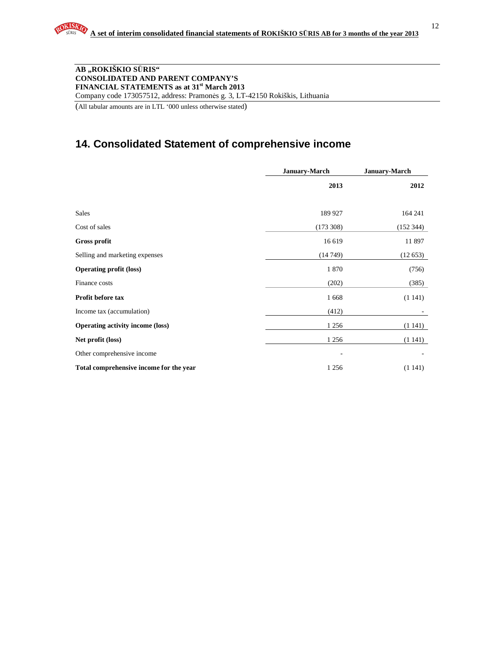#### **AB "ROKIŠKIO S**Ū**RIS" CONSOLIDATED AND PARENT COMPANY'S FINANCIAL STATEMENTS as at 31st March 2013**  Company code 173057512, address: Pramonės g. 3, LT-42150 Rokiškis, Lithuania

(All tabular amounts are in LTL '000 unless otherwise stated)

# **14. Consolidated Statement of comprehensive income**

|                                         | <b>January-March</b> | January-March |
|-----------------------------------------|----------------------|---------------|
|                                         | 2013                 | 2012          |
| Sales                                   | 189 927              | 164 241       |
| Cost of sales                           | (173308)             | (152 344)     |
| Gross profit                            | 16 619               | 11 897        |
| Selling and marketing expenses          | (14749)              | (12653)       |
| <b>Operating profit (loss)</b>          | 1870                 | (756)         |
| Finance costs                           | (202)                | (385)         |
| Profit before tax                       | 1668                 | (1141)        |
| Income tax (accumulation)               | (412)                |               |
| <b>Operating activity income (loss)</b> | 1 2 5 6              | (1141)        |
| Net profit (loss)                       | 1 2 5 6              | (1141)        |
| Other comprehensive income              |                      |               |
| Total comprehensive income for the year | 1 2 5 6              | (1141)        |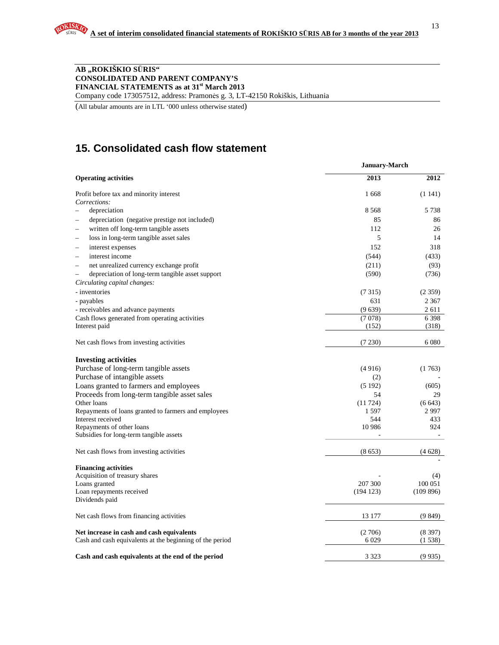#### **AB "ROKIŠKIO S**Ū**RIS" CONSOLIDATED AND PARENT COMPANY'S FINANCIAL STATEMENTS as at 31st March 2013**

Company code 173057512, address: Pramonės g. 3, LT-42150 Rokiškis, Lithuania

(All tabular amounts are in LTL '000 unless otherwise stated)

# **15. Consolidated cash flow statement**

| Corrections:<br>depreciation<br>depreciation (negative prestige not included)<br>written off long-term tangible assets<br>loss in long-term tangible asset sales<br>interest expenses<br>interest income | January-March |          |  |  |  |
|----------------------------------------------------------------------------------------------------------------------------------------------------------------------------------------------------------|---------------|----------|--|--|--|
| <b>Operating activities</b>                                                                                                                                                                              | 2013          | 2012     |  |  |  |
| Profit before tax and minority interest                                                                                                                                                                  | 1668          | (1141)   |  |  |  |
|                                                                                                                                                                                                          |               |          |  |  |  |
|                                                                                                                                                                                                          | 8 5 6 8       | 5738     |  |  |  |
|                                                                                                                                                                                                          | 85            | 86       |  |  |  |
| L.                                                                                                                                                                                                       | 112           | 26       |  |  |  |
|                                                                                                                                                                                                          | 5             | 14       |  |  |  |
| -                                                                                                                                                                                                        | 152           | 318      |  |  |  |
| L.                                                                                                                                                                                                       | (544)         | (433)    |  |  |  |
| net unrealized currency exchange profit<br>$\overline{\phantom{0}}$                                                                                                                                      | (211)         | (93)     |  |  |  |
| depreciation of long-term tangible asset support<br>$\overline{\phantom{0}}$                                                                                                                             | (590)         | (736)    |  |  |  |
| Circulating capital changes:                                                                                                                                                                             |               |          |  |  |  |
| - inventories                                                                                                                                                                                            | (7315)        | (2359)   |  |  |  |
| - payables                                                                                                                                                                                               | 631           | 2 3 6 7  |  |  |  |
| - receivables and advance payments                                                                                                                                                                       | (9639)        | 2611     |  |  |  |
| Cash flows generated from operating activities                                                                                                                                                           | (7078)        | 6398     |  |  |  |
| Interest paid                                                                                                                                                                                            | (152)         | (318)    |  |  |  |
| Net cash flows from investing activities                                                                                                                                                                 | (7230)        | 6 0 8 0  |  |  |  |
| <b>Investing activities</b>                                                                                                                                                                              |               |          |  |  |  |
| Purchase of long-term tangible assets                                                                                                                                                                    | (4916)        | (1763)   |  |  |  |
| Purchase of intangible assets                                                                                                                                                                            | (2)           |          |  |  |  |
| Loans granted to farmers and employees                                                                                                                                                                   | (5192)        | (605)    |  |  |  |
| Proceeds from long-term tangible asset sales                                                                                                                                                             | 54            | 29       |  |  |  |
| Other loans                                                                                                                                                                                              | (11724)       | (6643)   |  |  |  |
| Repayments of loans granted to farmers and employees                                                                                                                                                     | 1 5 9 7       | 2997     |  |  |  |
| Interest received                                                                                                                                                                                        | 544           | 433      |  |  |  |
| Repayments of other loans                                                                                                                                                                                | 10 9 86       | 924      |  |  |  |
| Subsidies for long-term tangible assets                                                                                                                                                                  |               |          |  |  |  |
| Net cash flows from investing activities                                                                                                                                                                 | (8653)        | (4628)   |  |  |  |
| <b>Financing activities</b>                                                                                                                                                                              |               |          |  |  |  |
| Acquisition of treasury shares                                                                                                                                                                           |               | (4)      |  |  |  |
| Loans granted                                                                                                                                                                                            | 207 300       | 100 051  |  |  |  |
| Loan repayments received                                                                                                                                                                                 | (194123)      | (109896) |  |  |  |
| Dividends paid                                                                                                                                                                                           |               |          |  |  |  |
| Net cash flows from financing activities                                                                                                                                                                 | 13 177        | (9849)   |  |  |  |
| Net increase in cash and cash equivalents                                                                                                                                                                | (2706)        | (8397)   |  |  |  |
| Cash and cash equivalents at the beginning of the period                                                                                                                                                 | 6 0 29        | (1538)   |  |  |  |
| Cash and cash equivalents at the end of the period                                                                                                                                                       | 3 3 2 3       | (9935)   |  |  |  |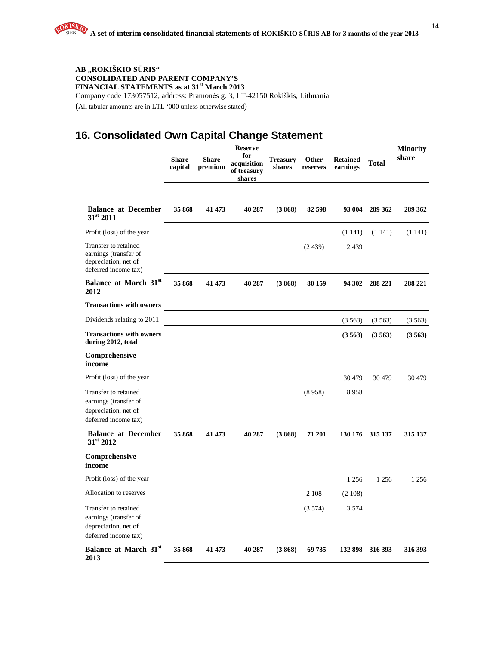#### **AB "ROKIŠKIO S**Ū**RIS" CONSOLIDATED AND PARENT COMPANY'S FINANCIAL STATEMENTS as at 31st March 2013**

Company code 173057512, address: Pramonės g. 3, LT-42150 Rokiškis, Lithuania

(All tabular amounts are in LTL '000 unless otherwise stated)

# **16. Consolidated Own Capital Change Statement**

|                                                                                               | <b>Share</b><br>capital | <b>Share</b><br>premium | <b>Reserve</b><br>for<br>acquisition<br>of treasury<br>shares | <b>Treasury</b><br>shares | <b>Other</b><br>reserves | <b>Retained</b><br>earnings | <b>Total</b> | <b>Minority</b><br>share |
|-----------------------------------------------------------------------------------------------|-------------------------|-------------------------|---------------------------------------------------------------|---------------------------|--------------------------|-----------------------------|--------------|--------------------------|
| <b>Balance at December</b><br>$31^{st}$ 2011                                                  | 35 868                  | 41 473                  | 40 287                                                        | (3868)                    | 82 598                   | 93 004                      | 289 362      | 289 362                  |
| Profit (loss) of the year                                                                     |                         |                         |                                                               |                           |                          | (1141)                      | (1141)       | (1141)                   |
| Transfer to retained<br>earnings (transfer of<br>depreciation, net of<br>deferred income tax) |                         |                         |                                                               |                           | (2439)                   | 2439                        |              |                          |
| Balance at March 31st<br>2012                                                                 | 35 868                  | 41 473                  | 40 287                                                        | (3868)                    | 80 159                   | 94 302                      | 288 221      | 288 221                  |
| <b>Transactions with owners</b>                                                               |                         |                         |                                                               |                           |                          |                             |              |                          |
| Dividends relating to 2011                                                                    |                         |                         |                                                               |                           |                          | (3563)                      | (3563)       | (3.563)                  |
| <b>Transactions with owners</b><br>during 2012, total                                         |                         |                         |                                                               |                           |                          | (3563)                      | (3563)       | (3563)                   |
| Comprehensive<br>income                                                                       |                         |                         |                                                               |                           |                          |                             |              |                          |
| Profit (loss) of the year                                                                     |                         |                         |                                                               |                           |                          | 30479                       | 30 4 79      | 30 4 79                  |
| Transfer to retained<br>earnings (transfer of<br>depreciation, net of<br>deferred income tax) |                         |                         |                                                               |                           | (8958)                   | 8958                        |              |                          |
| <b>Balance at December</b><br>$31^{\rm st}$ 2012                                              | 35 868                  | 41 473                  | 40 287                                                        | (3868)                    | 71 201                   | 130 176                     | 315 137      | 315 137                  |
| Comprehensive<br>income                                                                       |                         |                         |                                                               |                           |                          |                             |              |                          |
| Profit (loss) of the year                                                                     |                         |                         |                                                               |                           |                          | 1 2 5 6                     | 1 2 5 6      | 1 2 5 6                  |
| Allocation to reserves                                                                        |                         |                         |                                                               |                           | 2 1 0 8                  | (2108)                      |              |                          |
| Transfer to retained<br>earnings (transfer of<br>depreciation, net of<br>deferred income tax) |                         |                         |                                                               |                           | (3574)                   | 3 5 7 4                     |              |                          |
| Balance at March 31st<br>2013                                                                 | 35 868                  | 41 473                  | 40 287                                                        | (3868)                    | 69 735                   | 132 898                     | 316 393      | 316 393                  |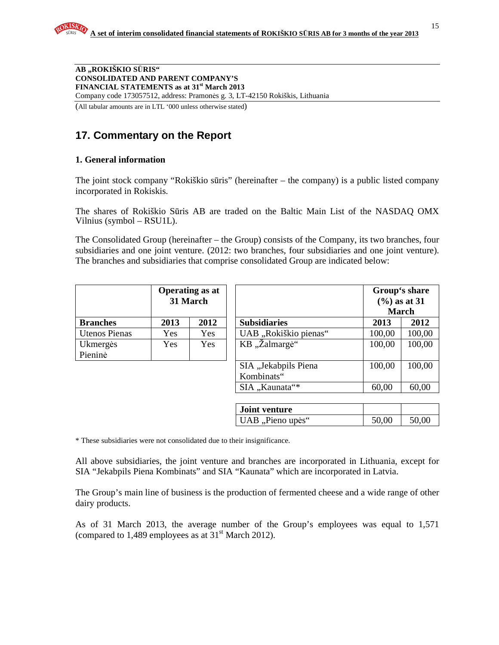**AB "ROKIŠKIO S**Ū**RIS" CONSOLIDATED AND PARENT COMPANY'S FINANCIAL STATEMENTS as at 31st March 2013**  Company code 173057512, address: Pramonės g. 3, LT-42150 Rokiškis, Lithuania

(All tabular amounts are in LTL '000 unless otherwise stated)

# **17. Commentary on the Report**

### **1. General information**

The joint stock company "Rokiškio sūris" (hereinafter – the company) is a public listed company incorporated in Rokiskis.

The shares of Rokiškio Sūris AB are traded on the Baltic Main List of the NASDAQ OMX Vilnius (symbol – RSU1L).

The Consolidated Group (hereinafter – the Group) consists of the Company, its two branches, four subsidiaries and one joint venture. (2012: two branches, four subsidiaries and one joint venture). The branches and subsidiaries that comprise consolidated Group are indicated below:

|                 | <b>Operating as at</b><br>31 March |      |  |  |
|-----------------|------------------------------------|------|--|--|
| <b>Branches</b> | 2013                               | 2012 |  |  |
| Utenos Pienas   | Yes                                | Yes  |  |  |
| Ukmergės        | Yes                                | Yes  |  |  |
| Pieninė         |                                    |      |  |  |

|                      | <b>Operating as at</b><br>31 March |            |                                    |        | Group's share<br>$(\frac{6}{6})$ as at 31<br><b>March</b> |  |  |
|----------------------|------------------------------------|------------|------------------------------------|--------|-----------------------------------------------------------|--|--|
| <b>Branches</b>      | 2013                               | 2012       | <b>Subsidiaries</b>                | 2013   | 2012                                                      |  |  |
| <b>Utenos Pienas</b> | <b>Yes</b>                         | <b>Yes</b> | UAB "Rokiškio pienas"              | 100,00 | 100,00                                                    |  |  |
| Ukmergės<br>Pieninė  | <b>Yes</b>                         | <b>Yes</b> | KB "Žalmargė"                      | 100,00 | 100,00                                                    |  |  |
|                      |                                    |            | SIA "Jekabpils Piena<br>Kombinats" | 100,00 | 100,00                                                    |  |  |
|                      |                                    |            | SIA "Kaunata"*                     | 60,00  | 60,00                                                     |  |  |

| <b>Joint venture</b> |       |       |
|----------------------|-------|-------|
| UAB, Pieno upės"     | 50,00 | 50,00 |

\* These subsidiaries were not consolidated due to their insignificance.

All above subsidiaries, the joint venture and branches are incorporated in Lithuania, except for SIA "Jekabpils Piena Kombinats" and SIA "Kaunata" which are incorporated in Latvia.

The Group's main line of business is the production of fermented cheese and a wide range of other dairy products.

As of 31 March 2013, the average number of the Group's employees was equal to 1,571 (compared to  $1,489$  employees as at  $31<sup>st</sup>$  March 2012).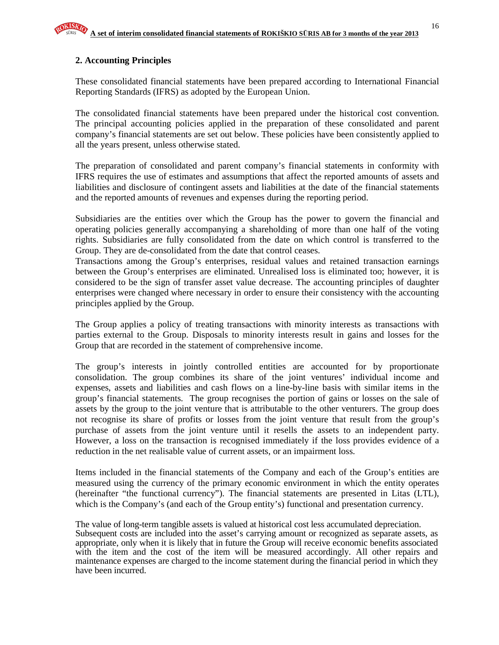## **2. Accounting Principles**

These consolidated financial statements have been prepared according to International Financial Reporting Standards (IFRS) as adopted by the European Union.

The consolidated financial statements have been prepared under the historical cost convention. The principal accounting policies applied in the preparation of these consolidated and parent company's financial statements are set out below. These policies have been consistently applied to all the years present, unless otherwise stated.

The preparation of consolidated and parent company's financial statements in conformity with IFRS requires the use of estimates and assumptions that affect the reported amounts of assets and liabilities and disclosure of contingent assets and liabilities at the date of the financial statements and the reported amounts of revenues and expenses during the reporting period.

Subsidiaries are the entities over which the Group has the power to govern the financial and operating policies generally accompanying a shareholding of more than one half of the voting rights. Subsidiaries are fully consolidated from the date on which control is transferred to the Group. They are de-consolidated from the date that control ceases.

Transactions among the Group's enterprises, residual values and retained transaction earnings between the Group's enterprises are eliminated. Unrealised loss is eliminated too; however, it is considered to be the sign of transfer asset value decrease. The accounting principles of daughter enterprises were changed where necessary in order to ensure their consistency with the accounting principles applied by the Group.

The Group applies a policy of treating transactions with minority interests as transactions with parties external to the Group. Disposals to minority interests result in gains and losses for the Group that are recorded in the statement of comprehensive income.

The group's interests in jointly controlled entities are accounted for by proportionate consolidation. The group combines its share of the joint ventures' individual income and expenses, assets and liabilities and cash flows on a line-by-line basis with similar items in the group's financial statements. The group recognises the portion of gains or losses on the sale of assets by the group to the joint venture that is attributable to the other venturers. The group does not recognise its share of profits or losses from the joint venture that result from the group's purchase of assets from the joint venture until it resells the assets to an independent party. However, a loss on the transaction is recognised immediately if the loss provides evidence of a reduction in the net realisable value of current assets, or an impairment loss.

Items included in the financial statements of the Company and each of the Group's entities are measured using the currency of the primary economic environment in which the entity operates (hereinafter "the functional currency"). The financial statements are presented in Litas (LTL), which is the Company's (and each of the Group entity's) functional and presentation currency.

The value of long-term tangible assets is valued at historical cost less accumulated depreciation. Subsequent costs are included into the asset's carrying amount or recognized as separate assets, as appropriate, only when it is likely that in future the Group will receive economic benefits associated with the item and the cost of the item will be measured accordingly. All other repairs and maintenance expenses are charged to the income statement during the financial period in which they have been incurred.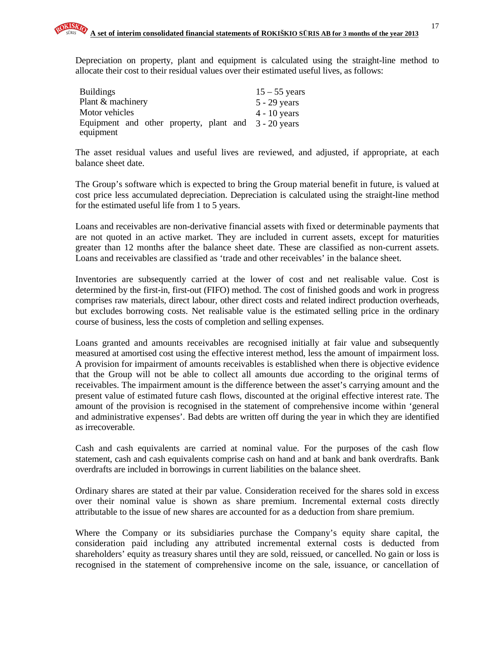Depreciation on property, plant and equipment is calculated using the straight-line method to allocate their cost to their residual values over their estimated useful lives, as follows:

| <b>Buildings</b>                                     | $15 - 55$ years |
|------------------------------------------------------|-----------------|
| Plant & machinery                                    | $5 - 29$ years  |
| Motor vehicles                                       | $4 - 10$ years  |
| Equipment and other property, plant and 3 - 20 years |                 |
| equipment                                            |                 |

The asset residual values and useful lives are reviewed, and adjusted, if appropriate, at each balance sheet date.

The Group's software which is expected to bring the Group material benefit in future, is valued at cost price less accumulated depreciation. Depreciation is calculated using the straight-line method for the estimated useful life from 1 to 5 years.

Loans and receivables are non-derivative financial assets with fixed or determinable payments that are not quoted in an active market. They are included in current assets, except for maturities greater than 12 months after the balance sheet date. These are classified as non-current assets. Loans and receivables are classified as 'trade and other receivables' in the balance sheet.

Inventories are subsequently carried at the lower of cost and net realisable value. Cost is determined by the first-in, first-out (FIFO) method. The cost of finished goods and work in progress comprises raw materials, direct labour, other direct costs and related indirect production overheads, but excludes borrowing costs. Net realisable value is the estimated selling price in the ordinary course of business, less the costs of completion and selling expenses.

Loans granted and amounts receivables are recognised initially at fair value and subsequently measured at amortised cost using the effective interest method, less the amount of impairment loss. A provision for impairment of amounts receivables is established when there is objective evidence that the Group will not be able to collect all amounts due according to the original terms of receivables. The impairment amount is the difference between the asset's carrying amount and the present value of estimated future cash flows, discounted at the original effective interest rate. The amount of the provision is recognised in the statement of comprehensive income within 'general and administrative expenses'. Bad debts are written off during the year in which they are identified as irrecoverable.

Cash and cash equivalents are carried at nominal value. For the purposes of the cash flow statement, cash and cash equivalents comprise cash on hand and at bank and bank overdrafts. Bank overdrafts are included in borrowings in current liabilities on the balance sheet.

Ordinary shares are stated at their par value. Consideration received for the shares sold in excess over their nominal value is shown as share premium. Incremental external costs directly attributable to the issue of new shares are accounted for as a deduction from share premium.

Where the Company or its subsidiaries purchase the Company's equity share capital, the consideration paid including any attributed incremental external costs is deducted from shareholders' equity as treasury shares until they are sold, reissued, or cancelled. No gain or loss is recognised in the statement of comprehensive income on the sale, issuance, or cancellation of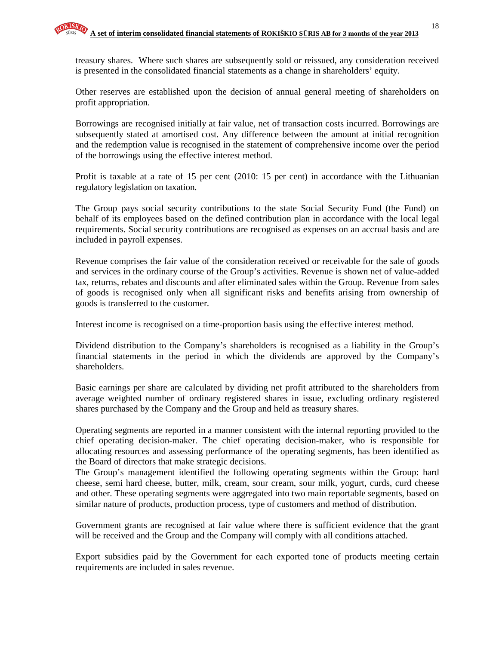treasury shares. Where such shares are subsequently sold or reissued, any consideration received is presented in the consolidated financial statements as a change in shareholders' equity.

Other reserves are established upon the decision of annual general meeting of shareholders on profit appropriation.

Borrowings are recognised initially at fair value, net of transaction costs incurred. Borrowings are subsequently stated at amortised cost. Any difference between the amount at initial recognition and the redemption value is recognised in the statement of comprehensive income over the period of the borrowings using the effective interest method.

Profit is taxable at a rate of 15 per cent (2010: 15 per cent) in accordance with the Lithuanian regulatory legislation on taxation.

The Group pays social security contributions to the state Social Security Fund (the Fund) on behalf of its employees based on the defined contribution plan in accordance with the local legal requirements. Social security contributions are recognised as expenses on an accrual basis and are included in payroll expenses.

Revenue comprises the fair value of the consideration received or receivable for the sale of goods and services in the ordinary course of the Group's activities. Revenue is shown net of value-added tax, returns, rebates and discounts and after eliminated sales within the Group. Revenue from sales of goods is recognised only when all significant risks and benefits arising from ownership of goods is transferred to the customer.

Interest income is recognised on a time-proportion basis using the effective interest method.

Dividend distribution to the Company's shareholders is recognised as a liability in the Group's financial statements in the period in which the dividends are approved by the Company's shareholders.

Basic earnings per share are calculated by dividing net profit attributed to the shareholders from average weighted number of ordinary registered shares in issue, excluding ordinary registered shares purchased by the Company and the Group and held as treasury shares.

Operating segments are reported in a manner consistent with the internal reporting provided to the chief operating decision-maker. The chief operating decision-maker, who is responsible for allocating resources and assessing performance of the operating segments, has been identified as the Board of directors that make strategic decisions.

The Group's management identified the following operating segments within the Group: hard cheese, semi hard cheese, butter, milk, cream, sour cream, sour milk, yogurt, curds, curd cheese and other. These operating segments were aggregated into two main reportable segments, based on similar nature of products, production process, type of customers and method of distribution.

Government grants are recognised at fair value where there is sufficient evidence that the grant will be received and the Group and the Company will comply with all conditions attached.

Export subsidies paid by the Government for each exported tone of products meeting certain requirements are included in sales revenue.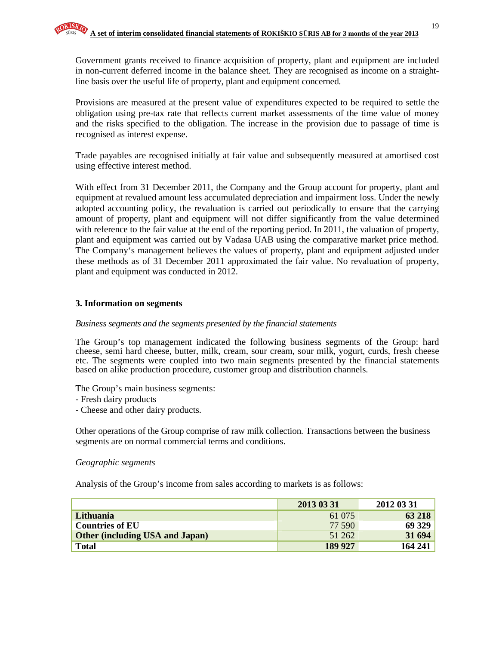Government grants received to finance acquisition of property, plant and equipment are included in non-current deferred income in the balance sheet. They are recognised as income on a straightline basis over the useful life of property, plant and equipment concerned.

Provisions are measured at the present value of expenditures expected to be required to settle the obligation using pre-tax rate that reflects current market assessments of the time value of money and the risks specified to the obligation. The increase in the provision due to passage of time is recognised as interest expense.

Trade payables are recognised initially at fair value and subsequently measured at amortised cost using effective interest method.

With effect from 31 December 2011, the Company and the Group account for property, plant and equipment at revalued amount less accumulated depreciation and impairment loss. Under the newly adopted accounting policy, the revaluation is carried out periodically to ensure that the carrying amount of property, plant and equipment will not differ significantly from the value determined with reference to the fair value at the end of the reporting period. In 2011, the valuation of property, plant and equipment was carried out by Vadasa UAB using the comparative market price method. The Company's management believes the values of property, plant and equipment adjusted under these methods as of 31 December 2011 approximated the fair value. No revaluation of property, plant and equipment was conducted in 2012.

#### **3. Information on segments**

#### *Business segments and the segments presented by the financial statements*

The Group's top management indicated the following business segments of the Group: hard cheese, semi hard cheese, butter, milk, cream, sour cream, sour milk, yogurt, curds, fresh cheese etc. The segments were coupled into two main segments presented by the financial statements based on alike production procedure, customer group and distribution channels.

The Group's main business segments:

- Fresh dairy products
- Cheese and other dairy products.

Other operations of the Group comprise of raw milk collection. Transactions between the business segments are on normal commercial terms and conditions.

#### *Geographic segments*

Analysis of the Group's income from sales according to markets is as follows:

|                                        | 2013 03 31 | 2012 03 31 |
|----------------------------------------|------------|------------|
| Lithuania                              | 61 075     | 63 218     |
| <b>Countries of EU</b>                 | 77 590     | 69 329     |
| <b>Other (including USA and Japan)</b> | 51 262     | 31 694     |
| <b>Total</b>                           | 189 927    | 164 241    |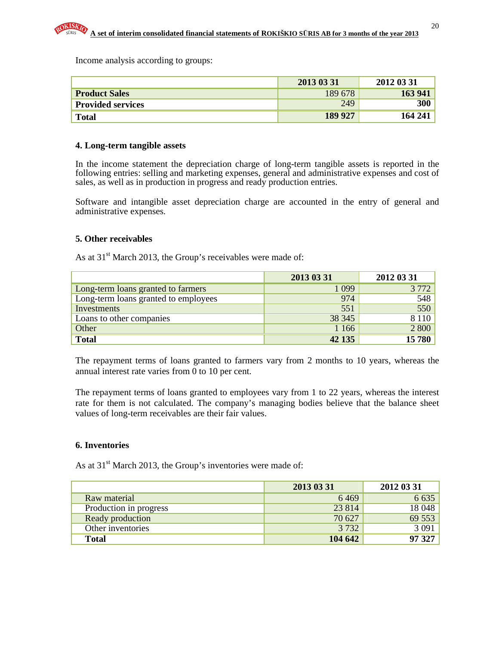Income analysis according to groups:

|                          | 2013 03 31 | 2012 03 31 |
|--------------------------|------------|------------|
| <b>Product Sales</b>     | 189 678    | 163 941    |
| <b>Provided services</b> | 249        | 300        |
| <b>Total</b>             | 189 927    | 164 241    |

#### **4. Long-term tangible assets**

In the income statement the depreciation charge of long-term tangible assets is reported in the following entries: selling and marketing expenses, general and administrative expenses and cost of sales, as well as in production in progress and ready production entries.

Software and intangible asset depreciation charge are accounted in the entry of general and administrative expenses.

#### **5. Other receivables**

As at  $31<sup>st</sup>$  March 2013, the Group's receivables were made of:

|                                      | 2013 03 31 | 2012 03 31 |
|--------------------------------------|------------|------------|
| Long-term loans granted to farmers   | 1 0 9 9    | 3 7 7 2    |
| Long-term loans granted to employees | 974        | 548        |
| Investments                          | 551        | 550        |
| Loans to other companies             | 38 345     | 8 1 1 0    |
| Other                                | 1 1 6 6    | 2 800      |
| <b>Total</b>                         | 42 135     | 15780      |

The repayment terms of loans granted to farmers vary from 2 months to 10 years, whereas the annual interest rate varies from 0 to 10 per cent.

The repayment terms of loans granted to employees vary from 1 to 22 years, whereas the interest rate for them is not calculated. The company's managing bodies believe that the balance sheet values of long-term receivables are their fair values.

#### **6. Inventories**

As at  $31<sup>st</sup>$  March 2013, the Group's inventories were made of:

|                        | 2013 03 31 | 2012 03 31 |
|------------------------|------------|------------|
| Raw material           | 6469       | 6 6 3 5    |
| Production in progress | 23 8 14    | 18 048     |
| Ready production       | 70 627     | 69 553     |
| Other inventories      | 3 7 3 2    | 3091       |
| <b>Total</b>           | 104 642    | 97 327     |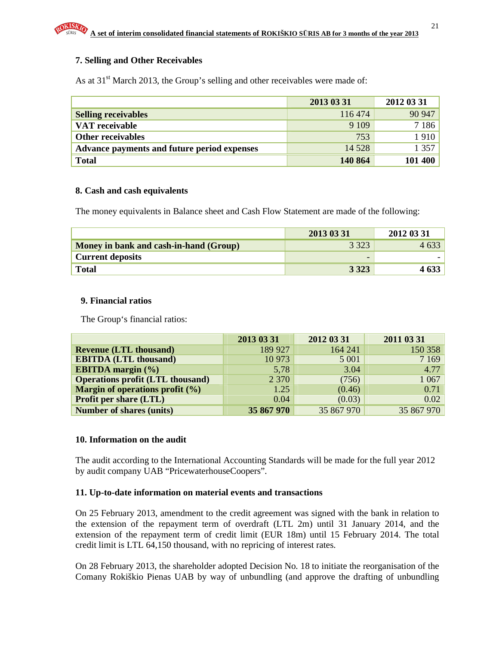#### **7. Selling and Other Receivables**

As at  $31<sup>st</sup>$  March 2013, the Group's selling and other receivables were made of:

|                                             | 2013 03 31 | 2012 03 31 |
|---------------------------------------------|------------|------------|
| <b>Selling receivables</b>                  | 116 474    | 90 947     |
| VAT receivable                              | 9 1 0 9    | 7 1 8 6    |
| Other receivables                           | 753        | 1910       |
| Advance payments and future period expenses | 14 5 28    | 1 3 5 7    |
| <b>Total</b>                                | 140 864    | 101 400    |

#### **8. Cash and cash equivalents**

The money equivalents in Balance sheet and Cash Flow Statement are made of the following:

|                                        | 2013 03 31 | 2012 03 31 |
|----------------------------------------|------------|------------|
| Money in bank and cash-in-hand (Group) | 3 3 2 3    | 4 633      |
| <b>Current deposits</b>                |            |            |
| <b>Total</b>                           | 3 3 2 3    |            |

#### **9. Financial ratios**

The Group's financial ratios:

|                                         | 2013 03 31 | 2012 03 31 | 2011 03 31 |
|-----------------------------------------|------------|------------|------------|
| <b>Revenue (LTL thousand)</b>           | 189 927    | 164 241    | 150 358    |
| <b>EBITDA (LTL thousand)</b>            | 10 973     | 5 0 0 1    | 7 1 6 9    |
| <b>EBITDA</b> margin (%)                | 5,78       | 3.04       | 4.77       |
| <b>Operations profit (LTL thousand)</b> | 2 3 7 0    | (756)      | 1 0 67     |
| Margin of operations profit $(\% )$     | 1.25       | (0.46)     | 0.71       |
| <b>Profit per share (LTL)</b>           | 0.04       | (0.03)     | 0.02       |
| <b>Number of shares (units)</b>         | 35 867 970 | 35 867 970 | 35 867 970 |

#### **10. Information on the audit**

The audit according to the International Accounting Standards will be made for the full year 2012 by audit company UAB "PricewaterhouseCoopers".

#### **11. Up-to-date information on material events and transactions**

On 25 February 2013, amendment to the credit agreement was signed with the bank in relation to the extension of the repayment term of overdraft (LTL 2m) until 31 January 2014, and the extension of the repayment term of credit limit (EUR 18m) until 15 February 2014. The total credit limit is LTL 64,150 thousand, with no repricing of interest rates.

On 28 February 2013, the shareholder adopted Decision No. 18 to initiate the reorganisation of the Comany Rokiškio Pienas UAB by way of unbundling (and approve the drafting of unbundling